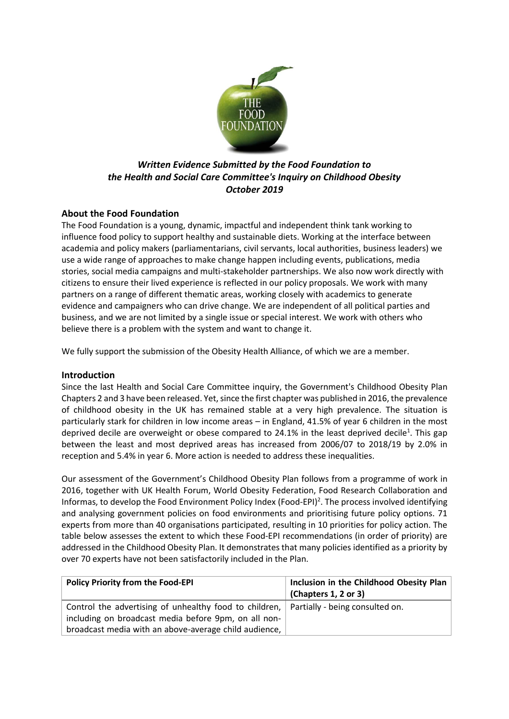

# *Written Evidence Submitted by the Food Foundation to the Health and Social Care Committee's Inquiry on Childhood Obesity October 2019*

# **About the Food Foundation**

The Food Foundation is a young, dynamic, impactful and independent think tank working to influence food policy to support healthy and sustainable diets. Working at the interface between academia and policy makers (parliamentarians, civil servants, local authorities, business leaders) we use a wide range of approaches to make change happen including events, publications, media stories, social media campaigns and multi-stakeholder partnerships. We also now work directly with citizens to ensure their lived experience is reflected in our policy proposals. We work with many partners on a range of different thematic areas, working closely with academics to generate evidence and campaigners who can drive change. We are independent of all political parties and business, and we are not limited by a single issue or special interest. We work with others who believe there is a problem with the system and want to change it.

We fully support the submission of the Obesity Health Alliance, of which we are a member.

# **Introduction**

Since the last Health and Social Care Committee inquiry, the Government's Childhood Obesity Plan Chapters 2 and 3 have been released. Yet, since the first chapter was published in 2016, the prevalence of childhood obesity in the UK has remained stable at a very high prevalence. The situation is particularly stark for children in low income areas – in England, 41.5% of year 6 children in the most deprived decile are overweight or obese compared to 24.1% in the least deprived decile<sup>1</sup>. This gap between the least and most deprived areas has increased from 2006/07 to 2018/19 by 2.0% in reception and 5.4% in year 6. More action is needed to address these inequalities.

Our assessment of the Government's Childhood Obesity Plan follows from a programme of work in 2016, together with UK Health Forum, World Obesity Federation, Food Research Collaboration and Informas, to develop the Food Environment Policy Index (Food-EPI)<sup>2</sup>. The process involved identifying and analysing government policies on food environments and prioritising future policy options. 71 experts from more than 40 organisations participated, resulting in 10 priorities for policy action. The table below assesses the extent to which these Food-EPI recommendations (in order of priority) are addressed in the Childhood Obesity Plan. It demonstrates that many policies identified as a priority by over 70 experts have not been satisfactorily included in the Plan.

| <b>Policy Priority from the Food-EPI</b>                                                 | Inclusion in the Childhood Obesity Plan<br>$\vert$ (Chapters 1, 2 or 3) |
|------------------------------------------------------------------------------------------|-------------------------------------------------------------------------|
|                                                                                          |                                                                         |
| Control the advertising of unhealthy food to children,   Partially - being consulted on. |                                                                         |
| including on broadcast media before 9pm, on all non-                                     |                                                                         |
| broadcast media with an above-average child audience,                                    |                                                                         |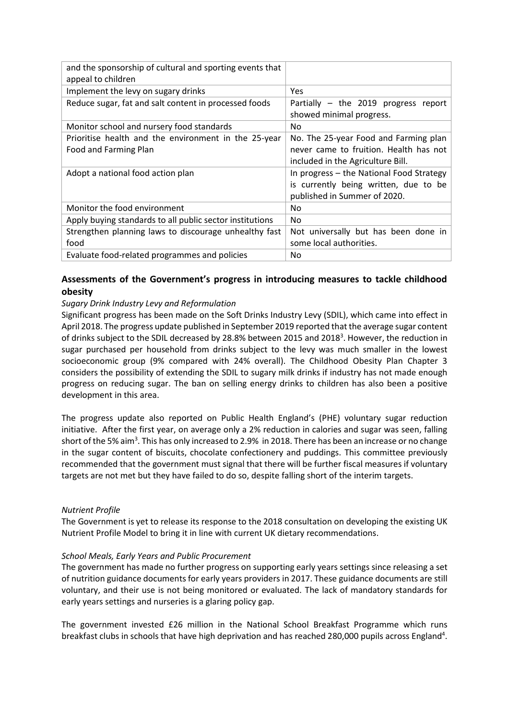| and the sponsorship of cultural and sporting events that<br>appeal to children |                                                                                                                      |
|--------------------------------------------------------------------------------|----------------------------------------------------------------------------------------------------------------------|
| Implement the levy on sugary drinks                                            | Yes                                                                                                                  |
| Reduce sugar, fat and salt content in processed foods                          | Partially - the 2019 progress report<br>showed minimal progress.                                                     |
| Monitor school and nursery food standards                                      | No.                                                                                                                  |
| Prioritise health and the environment in the 25-year<br>Food and Farming Plan  | No. The 25-year Food and Farming plan<br>never came to fruition. Health has not<br>included in the Agriculture Bill. |
| Adopt a national food action plan                                              | In progress - the National Food Strategy<br>is currently being written, due to be<br>published in Summer of 2020.    |
| Monitor the food environment                                                   | No.                                                                                                                  |
| Apply buying standards to all public sector institutions                       | No.                                                                                                                  |
| Strengthen planning laws to discourage unhealthy fast<br>food                  | Not universally but has been done in<br>some local authorities.                                                      |
| Evaluate food-related programmes and policies                                  | No.                                                                                                                  |

# **Assessments of the Government's progress in introducing measures to tackle childhood obesity**

# *Sugary Drink Industry Levy and Reformulation*

Significant progress has been made on the Soft Drinks Industry Levy (SDIL), which came into effect in April 2018. The progress update published in September 2019 reported that the average sugar content of drinks subject to the SDIL decreased by 28.8% between 2015 and 2018<sup>3</sup>. However, the reduction in sugar purchased per household from drinks subject to the levy was much smaller in the lowest socioeconomic group (9% compared with 24% overall). The Childhood Obesity Plan Chapter 3 considers the possibility of extending the SDIL to sugary milk drinks if industry has not made enough progress on reducing sugar. The ban on selling energy drinks to children has also been a positive development in this area.

The progress update also reported on Public Health England's (PHE) voluntary sugar reduction initiative. After the first year, on average only a 2% reduction in calories and sugar was seen, falling short of the 5% aim<sup>3</sup>. This has only increased to 2.9% in 2018. There has been an increase or no change in the sugar content of biscuits, chocolate confectionery and puddings. This committee previously recommended that the government must signal that there will be further fiscal measures if voluntary targets are not met but they have failed to do so, despite falling short of the interim targets.

### *Nutrient Profile*

The Government is yet to release its response to the 2018 consultation on developing the existing UK Nutrient Profile Model to bring it in line with current UK dietary recommendations.

### *School Meals, Early Years and Public Procurement*

The government has made no further progress on supporting early years settings since releasing a set of nutrition guidance documents for early years providers in 2017. These guidance documents are still voluntary, and their use is not being monitored or evaluated. The lack of mandatory standards for early years settings and nurseries is a glaring policy gap.

The government invested £26 million in the National School Breakfast Programme which runs breakfast clubs in schools that have high deprivation and has reached 280,000 pupils across England<sup>4</sup>.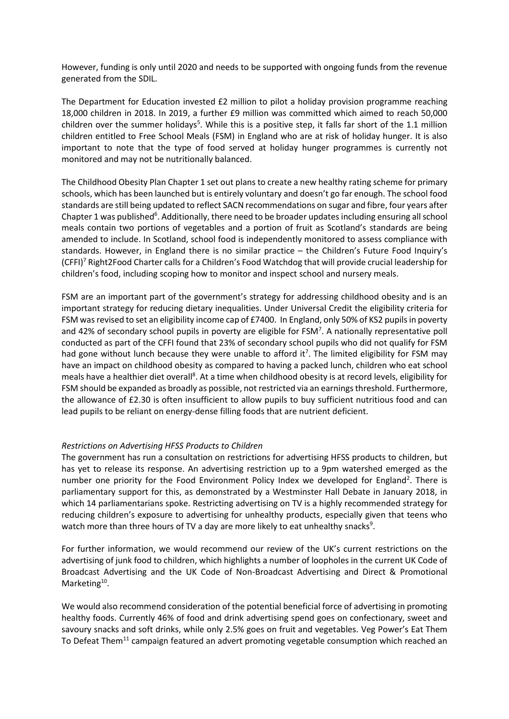However, funding is only until 2020 and needs to be supported with ongoing funds from the revenue generated from the SDIL.

The Department for Education invested £2 million to pilot a holiday provision programme reaching 18,000 children in 2018. In 2019, a further £9 million was committed which aimed to reach 50,000 children over the summer holidays<sup>5</sup>. While this is a positive step, it falls far short of the 1.1 million children entitled to Free School Meals (FSM) in England who are at risk of holiday hunger. It is also important to note that the type of food served at holiday hunger programmes is currently not monitored and may not be nutritionally balanced.

The Childhood Obesity Plan Chapter 1 set out plans to create a new healthy rating scheme for primary schools, which has been launched but is entirely voluntary and doesn't go far enough. The school food standards are still being updated to reflect SACN recommendations on sugar and fibre, four years after Chapter 1 was published<sup>6</sup>. Additionally, there need to be broader updates including ensuring all school meals contain two portions of vegetables and a portion of fruit as Scotland's standards are being amended to include. In Scotland, school food is independently monitored to assess compliance with standards. However, in England there is no similar practice – the Children's Future Food Inquiry's (CFFI)<sup>7</sup> Right2Food Charter calls for a Children's Food Watchdog that will provide crucial leadership for children's food, including scoping how to monitor and inspect school and nursery meals.

FSM are an important part of the government's strategy for addressing childhood obesity and is an important strategy for reducing dietary inequalities. Under Universal Credit the eligibility criteria for FSM was revised to set an eligibility income cap of £7400. In England, only 50% of KS2 pupils in poverty and 42% of secondary school pupils in poverty are eligible for FSM<sup>7</sup>. A nationally representative poll conducted as part of the CFFI found that 23% of secondary school pupils who did not qualify for FSM had gone without lunch because they were unable to afford it<sup>7</sup>. The limited eligibility for FSM may have an impact on childhood obesity as compared to having a packed lunch, children who eat school meals have a healthier diet overall<sup>8</sup>. At a time when childhood obesity is at record levels, eligibility for FSM should be expanded as broadly as possible, not restricted via an earnings threshold. Furthermore, the allowance of £2.30 is often insufficient to allow pupils to buy sufficient nutritious food and can lead pupils to be reliant on energy-dense filling foods that are nutrient deficient.

### *Restrictions on Advertising HFSS Products to Children*

The government has run a consultation on restrictions for advertising HFSS products to children, but has yet to release its response. An advertising restriction up to a 9pm watershed emerged as the number one priority for the Food Environment Policy Index we developed for England<sup>2</sup>. There is parliamentary support for this, as demonstrated by a Westminster Hall Debate in January 2018, in which 14 parliamentarians spoke. Restricting advertising on TV is a highly recommended strategy for reducing children's exposure to advertising for unhealthy products, especially given that teens who watch more than three hours of TV a day are more likely to eat unhealthy snacks<sup>9</sup>.

For further information, we would recommend our review of the UK's current restrictions on the advertising of junk food to children, which highlights a number of loopholes in the current UK Code of Broadcast Advertising and the UK Code of Non-Broadcast Advertising and Direct & Promotional Marketing<sup>10</sup>.

We would also recommend consideration of the potential beneficial force of advertising in promoting healthy foods. Currently 46% of food and drink advertising spend goes on confectionary, sweet and savoury snacks and soft drinks, while only 2.5% goes on fruit and vegetables. Veg Power's Eat Them To Defeat Them<sup>11</sup> campaign featured an advert promoting vegetable consumption which reached an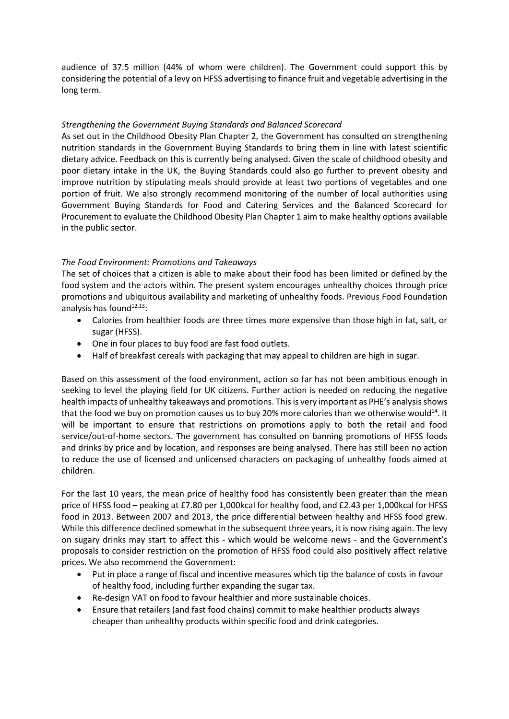audience of 37.5 million (44% of whom were children). The Government could support this by considering the potential of a levy on HFSS advertising to finance fruit and vegetable advertising in the long term.

### *Strengthening the Government Buying Standards and Balanced Scorecard*

As set out in the Childhood Obesity Plan Chapter 2, the Government has consulted on strengthening nutrition standards in the Government Buying Standards to bring them in line with latest scientific dietary advice. Feedback on this is currently being analysed. Given the scale of childhood obesity and poor dietary intake in the UK, the Buying Standards could also go further to prevent obesity and improve nutrition by stipulating meals should provide at least two portions of vegetables and one portion of fruit. We also strongly recommend monitoring of the number of local authorities using Government Buying Standards for Food and Catering Services and the Balanced Scorecard for Procurement to evaluate the Childhood Obesity Plan Chapter 1 aim to make healthy options available in the public sector.

# *The Food Environment: Promotions and Takeaways*

The set of choices that a citizen is able to make about their food has been limited or defined by the food system and the actors within. The present system encourages unhealthy choices through price promotions and ubiquitous availability and marketing of unhealthy foods. Previous Food Foundation analysis has found<sup>12,13</sup>:

- Calories from healthier foods are three times more expensive than those high in fat, salt, or sugar (HFSS).
- One in four places to buy food are fast food outlets.
- Half of breakfast cereals with packaging that may appeal to children are high in sugar.

Based on this assessment of the food environment, action so far has not been ambitious enough in seeking to level the playing field for UK citizens. Further action is needed on reducing the negative health impacts of unhealthy takeaways and promotions. This is very important as PHE's analysis shows that the food we buy on promotion causes us to buy 20% more calories than we otherwise would<sup>14</sup>. It will be important to ensure that restrictions on promotions apply to both the retail and food service/out-of-home sectors. The government has consulted on banning promotions of HFSS foods and drinks by price and by location, and responses are being analysed. There has still been no action to reduce the use of licensed and unlicensed characters on packaging of unhealthy foods aimed at children.

For the last 10 years, the mean price of healthy food has consistently been greater than the mean price of HFSS food – peaking at £7.80 per 1,000kcal for healthy food, and £2.43 per 1,000kcal for HFSS food in 2013. Between 2007 and 2013, the price differential between healthy and HFSS food grew. While this difference declined somewhat in the subsequent three years, it is now rising again. The levy on sugary drinks may start to affect this - which would be welcome news - and the Government's proposals to consider restriction on the promotion of HFSS food could also positively affect relative prices. We also recommend the Government:

- Put in place a range of fiscal and incentive measures which tip the balance of costs in favour of healthy food, including further expanding the sugar tax.
- Re-design VAT on food to favour healthier and more sustainable choices.
- Ensure that retailers (and fast food chains) commit to make healthier products always cheaper than unhealthy products within specific food and drink categories.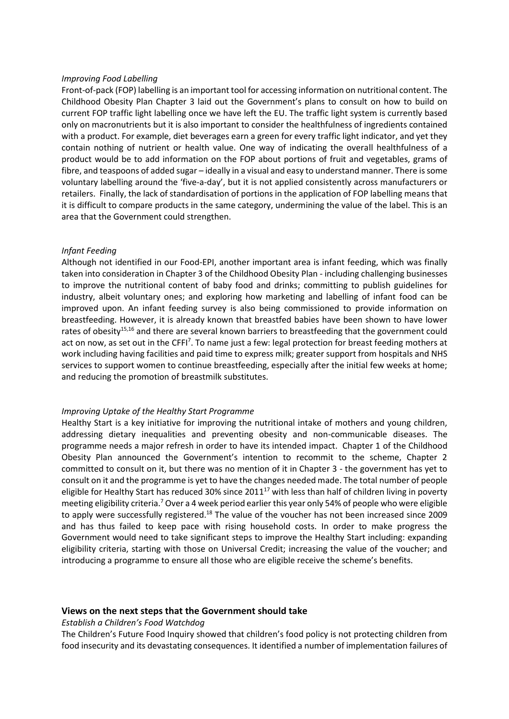#### *Improving Food Labelling*

Front-of-pack (FOP) labelling is an important tool for accessing information on nutritional content. The Childhood Obesity Plan Chapter 3 laid out the Government's plans to consult on how to build on current FOP traffic light labelling once we have left the EU. The traffic light system is currently based only on macronutrients but it is also important to consider the healthfulness of ingredients contained with a product. For example, diet beverages earn a green for every traffic light indicator, and yet they contain nothing of nutrient or health value. One way of indicating the overall healthfulness of a product would be to add information on the FOP about portions of fruit and vegetables, grams of fibre, and teaspoons of added sugar – ideally in a visual and easy to understand manner. There is some voluntary labelling around the 'five-a-day', but it is not applied consistently across manufacturers or retailers. Finally, the lack of standardisation of portions in the application of FOP labelling means that it is difficult to compare products in the same category, undermining the value of the label. This is an area that the Government could strengthen.

#### *Infant Feeding*

Although not identified in our Food-EPI, another important area is infant feeding, which was finally taken into consideration in Chapter 3 of the Childhood Obesity Plan - including challenging businesses to improve the nutritional content of baby food and drinks; committing to publish guidelines for industry, albeit voluntary ones; and exploring how marketing and labelling of infant food can be improved upon. An infant feeding survey is also being commissioned to provide information on breastfeeding. However, it is already known that breastfed babies have been shown to have lower rates of obesity<sup>15,16</sup> and there are several known barriers to breastfeeding that the government could act on now, as set out in the CFFI<sup>7</sup>. To name just a few: legal protection for breast feeding mothers at work including having facilities and paid time to express milk; greater support from hospitals and NHS services to support women to continue breastfeeding, especially after the initial few weeks at home; and reducing the promotion of breastmilk substitutes.

#### *Improving Uptake of the Healthy Start Programme*

Healthy Start is a key initiative for improving the nutritional intake of mothers and young children, addressing dietary inequalities and preventing obesity and non-communicable diseases. The programme needs a major refresh in order to have its intended impact. Chapter 1 of the Childhood Obesity Plan announced the Government's intention to recommit to the scheme, Chapter 2 committed to consult on it, but there was no mention of it in Chapter 3 - the government has yet to consult on it and the programme is yet to have the changes needed made. The total number of people eligible for Healthy Start has reduced 30% since 2011 $^{17}$  with less than half of children living in poverty meeting eligibility criteria.<sup>7</sup> Over a 4 week period earlier this year only 54% of people who were eligible to apply were successfully registered.<sup>18</sup> The value of the voucher has not been increased since 2009 and has thus failed to keep pace with rising household costs. In order to make progress the Government would need to take significant steps to improve the Healthy Start including: expanding eligibility criteria, starting with those on Universal Credit; increasing the value of the voucher; and introducing a programme to ensure all those who are eligible receive the scheme's benefits.

#### **Views on the next steps that the Government should take**

#### *Establish a Children's Food Watchdog*

The Children's Future Food Inquiry showed that children's food policy is not protecting children from food insecurity and its devastating consequences. It identified a number of implementation failures of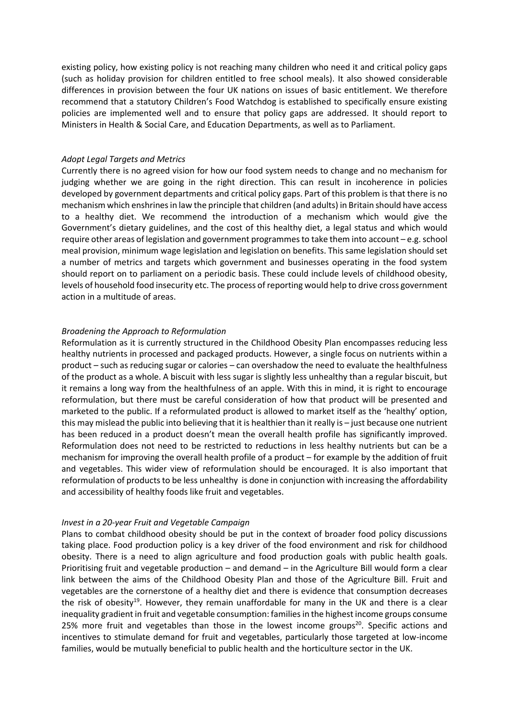existing policy, how existing policy is not reaching many children who need it and critical policy gaps (such as holiday provision for children entitled to free school meals). It also showed considerable differences in provision between the four UK nations on issues of basic entitlement. We therefore recommend that a statutory Children's Food Watchdog is established to specifically ensure existing policies are implemented well and to ensure that policy gaps are addressed. It should report to Ministers in Health & Social Care, and Education Departments, as well as to Parliament.

#### *Adopt Legal Targets and Metrics*

Currently there is no agreed vision for how our food system needs to change and no mechanism for judging whether we are going in the right direction. This can result in incoherence in policies developed by government departments and critical policy gaps. Part of this problem is that there is no mechanism which enshrines in law the principle that children (and adults) in Britain should have access to a healthy diet. We recommend the introduction of a mechanism which would give the Government's dietary guidelines, and the cost of this healthy diet, a legal status and which would require other areas of legislation and government programmes to take them into account – e.g. school meal provision, minimum wage legislation and legislation on benefits. This same legislation should set a number of metrics and targets which government and businesses operating in the food system should report on to parliament on a periodic basis. These could include levels of childhood obesity, levels of household food insecurity etc. The process of reporting would help to drive cross government action in a multitude of areas.

#### *Broadening the Approach to Reformulation*

Reformulation as it is currently structured in the Childhood Obesity Plan encompasses reducing less healthy nutrients in processed and packaged products. However, a single focus on nutrients within a product – such as reducing sugar or calories – can overshadow the need to evaluate the healthfulness of the product as a whole. A biscuit with less sugar is slightly less unhealthy than a regular biscuit, but it remains a long way from the healthfulness of an apple. With this in mind, it is right to encourage reformulation, but there must be careful consideration of how that product will be presented and marketed to the public. If a reformulated product is allowed to market itself as the 'healthy' option, this may mislead the public into believing that it is healthier than it really is – just because one nutrient has been reduced in a product doesn't mean the overall health profile has significantly improved. Reformulation does not need to be restricted to reductions in less healthy nutrients but can be a mechanism for improving the overall health profile of a product – for example by the addition of fruit and vegetables. This wider view of reformulation should be encouraged. It is also important that reformulation of products to be less unhealthy is done in conjunction with increasing the affordability and accessibility of healthy foods like fruit and vegetables.

#### *Invest in a 20-year Fruit and Vegetable Campaign*

Plans to combat childhood obesity should be put in the context of broader food policy discussions taking place. Food production policy is a key driver of the food environment and risk for childhood obesity. There is a need to align agriculture and food production goals with public health goals. Prioritising fruit and vegetable production – and demand – in the Agriculture Bill would form a clear link between the aims of the Childhood Obesity Plan and those of the Agriculture Bill. Fruit and vegetables are the cornerstone of a healthy diet and there is evidence that consumption decreases the risk of obesity<sup>19</sup>. However, they remain unaffordable for many in the UK and there is a clear inequality gradient in fruit and vegetable consumption: families in the highest income groups consume 25% more fruit and vegetables than those in the lowest income groups<sup>20</sup>. Specific actions and incentives to stimulate demand for fruit and vegetables, particularly those targeted at low-income families, would be mutually beneficial to public health and the horticulture sector in the UK.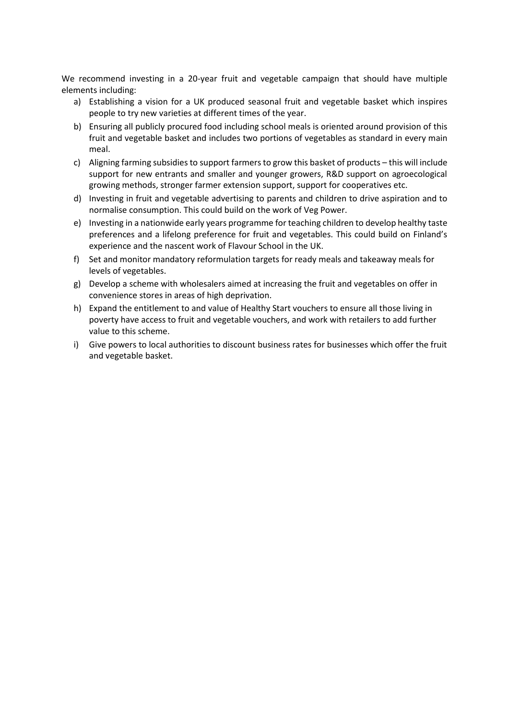We recommend investing in a 20-year fruit and vegetable campaign that should have multiple elements including:

- a) Establishing a vision for a UK produced seasonal fruit and vegetable basket which inspires people to try new varieties at different times of the year.
- b) Ensuring all publicly procured food including school meals is oriented around provision of this fruit and vegetable basket and includes two portions of vegetables as standard in every main meal.
- c) Aligning farming subsidies to support farmers to grow this basket of products this will include support for new entrants and smaller and younger growers, R&D support on agroecological growing methods, stronger farmer extension support, support for cooperatives etc.
- d) Investing in fruit and vegetable advertising to parents and children to drive aspiration and to normalise consumption. This could build on the work of Veg Power.
- e) Investing in a nationwide early years programme for teaching children to develop healthy taste preferences and a lifelong preference for fruit and vegetables. This could build on Finland's experience and the nascent work of Flavour School in the UK.
- f) Set and monitor mandatory reformulation targets for ready meals and takeaway meals for levels of vegetables.
- g) Develop a scheme with wholesalers aimed at increasing the fruit and vegetables on offer in convenience stores in areas of high deprivation.
- h) Expand the entitlement to and value of Healthy Start vouchers to ensure all those living in poverty have access to fruit and vegetable vouchers, and work with retailers to add further value to this scheme.
- i) Give powers to local authorities to discount business rates for businesses which offer the fruit and vegetable basket.